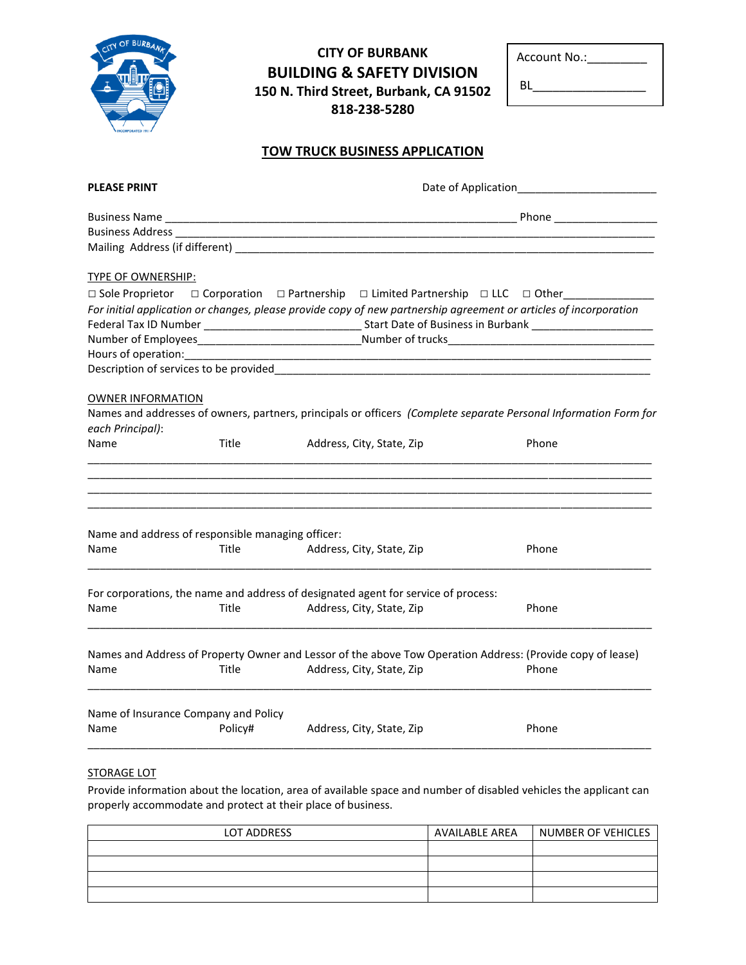| CITY OF BURBANK |
|-----------------|
|                 |
|                 |
|                 |
|                 |

## **CITY OF BURBANK BUILDING & SAFETY DIVISION 150 N. Third Street, Burbank, CA 91502 818-238-5280**

| Account No.: |  |
|--------------|--|
|              |  |

BL\_\_\_\_\_\_\_\_\_\_\_\_\_\_\_\_\_

## **TOW TRUCK BUSINESS APPLICATION**

| <b>PLEASE PRINT</b>                               |         |                                                                                                                   |                                                                                                                  |
|---------------------------------------------------|---------|-------------------------------------------------------------------------------------------------------------------|------------------------------------------------------------------------------------------------------------------|
|                                                   |         |                                                                                                                   |                                                                                                                  |
|                                                   |         | Business Address 2008 2009 2010 2020 2021 2021 2022 2023 2024 2022 2023 2024 2025 2020 2021 2022 202              |                                                                                                                  |
|                                                   |         |                                                                                                                   |                                                                                                                  |
|                                                   |         |                                                                                                                   |                                                                                                                  |
| TYPE OF OWNERSHIP:                                |         |                                                                                                                   |                                                                                                                  |
|                                                   |         | $\Box$ Sole Proprietor $\Box$ Corporation $\Box$ Partnership $\Box$ Limited Partnership $\Box$ LLC $\Box$ Other   |                                                                                                                  |
|                                                   |         | For initial application or changes, please provide copy of new partnership agreement or articles of incorporation |                                                                                                                  |
|                                                   |         |                                                                                                                   |                                                                                                                  |
|                                                   |         |                                                                                                                   |                                                                                                                  |
|                                                   |         |                                                                                                                   |                                                                                                                  |
|                                                   |         | Description of services to be provided Description of services to be provided                                     |                                                                                                                  |
|                                                   |         |                                                                                                                   |                                                                                                                  |
| <b>OWNER INFORMATION</b>                          |         |                                                                                                                   |                                                                                                                  |
|                                                   |         |                                                                                                                   | Names and addresses of owners, partners, principals or officers (Complete separate Personal Information Form for |
| each Principal):                                  |         |                                                                                                                   |                                                                                                                  |
| Name                                              | Title   | Address, City, State, Zip                                                                                         | Phone                                                                                                            |
| Name and address of responsible managing officer: |         |                                                                                                                   |                                                                                                                  |
| Name                                              | Title   | Address, City, State, Zip                                                                                         | Phone                                                                                                            |
|                                                   |         |                                                                                                                   |                                                                                                                  |
|                                                   |         | For corporations, the name and address of designated agent for service of process:                                |                                                                                                                  |
| Name                                              | Title   | Address, City, State, Zip                                                                                         | Phone                                                                                                            |
|                                                   |         |                                                                                                                   |                                                                                                                  |
|                                                   |         | Names and Address of Property Owner and Lessor of the above Tow Operation Address: (Provide copy of lease)        |                                                                                                                  |
| Name                                              | Title   | Address, City, State, Zip                                                                                         | Phone                                                                                                            |
|                                                   |         |                                                                                                                   |                                                                                                                  |
| Name of Insurance Company and Policy              |         |                                                                                                                   |                                                                                                                  |
| Name                                              | Policy# | Address, City, State, Zip                                                                                         | Phone                                                                                                            |
|                                                   |         |                                                                                                                   |                                                                                                                  |

## STORAGE LOT

Provide information about the location, area of available space and number of disabled vehicles the applicant can properly accommodate and protect at their place of business.

| <b>LOT ADDRESS</b> | <b>AVAILABLE AREA</b> | NUMBER OF VEHICLES |
|--------------------|-----------------------|--------------------|
|                    |                       |                    |
|                    |                       |                    |
|                    |                       |                    |
|                    |                       |                    |